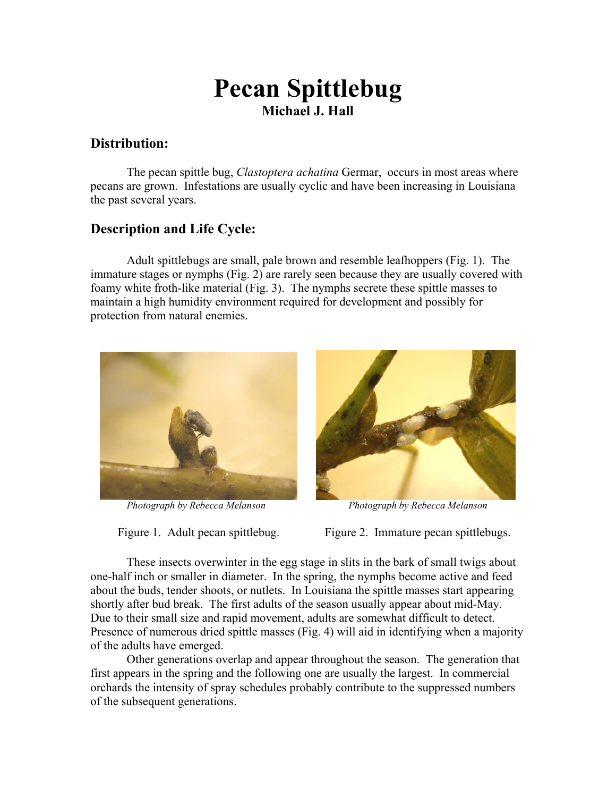# **Pecan Spittlebug Michael J. Hall**

### **Distribution:**

The pecan spittle bug, *Clastoptera achatina* Germar, occurs in most areas where pecans are grown. Infestations are usually cyclic and have been increasing in Louisiana the past several years.

## **Description and Life Cycle:**

Adult spittlebugs are small, pale brown and resemble leafhoppers (Fig. 1). The immature stages or nymphs (Fig. 2) are rarely seen because they are usually covered with foamy white froth-like material (Fig. 3). The nymphs secrete these spittle masses to maintain a high humidity environment required for development and possibly for protection from natural enemies.





*Photograph by Rebecca Melanson Photograph by Rebecca Melanson*

Figure 1. Adult pecan spittlebug. Figure 2. Immature pecan spittlebugs.

These insects overwinter in the egg stage in slits in the bark of small twigs about one-half inch or smaller in diameter. In the spring, the nymphs become active and feed about the buds, tender shoots, or nutlets. In Louisiana the spittle masses start appearing shortly after bud break. The first adults of the season usually appear about mid-May. Due to their small size and rapid movement, adults are somewhat difficult to detect. Presence of numerous dried spittle masses (Fig. 4) will aid in identifying when a majority of the adults have emerged.

 Other generations overlap and appear throughout the season. The generation that first appears in the spring and the following one are usually the largest. In commercial orchards the intensity of spray schedules probably contribute to the suppressed numbers of the subsequent generations.